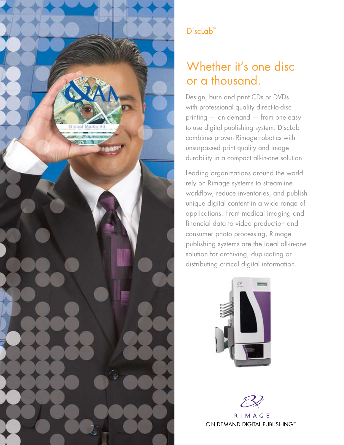

# DiscLab<sup>™</sup>

# Whether it's one disc or a thousand.

Design, burn and print CDs or DVDs with professional quality direct-to-disc printing — on demand — from one easy to use digital publishing system. DiscLab combines proven Rimage robotics with unsurpassed print quality and image durability in a compact all-in-one solution.

Leading organizations around the world rely on Rimage systems to streamline workflow, reduce inventories, and publish unique digital content in a wide range of applications. From medical imaging and financial data to video production and consumer photo processing, Rimage publishing systems are the ideal all-in-one solution for archiving, duplicating or distributing critical digital information.



**RIMAGE** ON DEMAND DIGITAL PUBLISHING™